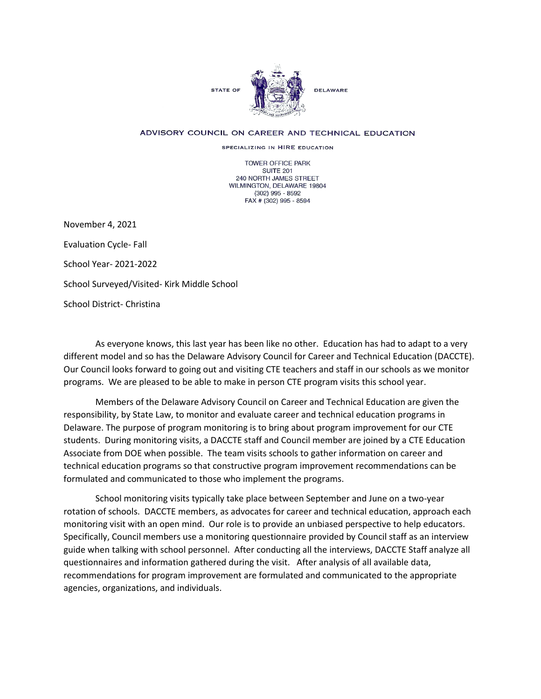

## ADVISORY COUNCIL ON CAREER AND TECHNICAL EDUCATION

SPECIALIZING IN HIRE EDUCATION

TOWER OFFICE PARK SUITE 201 240 NORTH JAMES STREET WILMINGTON, DELAWARE 19804 (302) 995 - 8592 FAX # (302) 995 - 8594

November 4, 2021 Evaluation Cycle- Fall School Year- 2021-2022 School Surveyed/Visited- Kirk Middle School School District- Christina

As everyone knows, this last year has been like no other. Education has had to adapt to a very different model and so has the Delaware Advisory Council for Career and Technical Education (DACCTE). Our Council looks forward to going out and visiting CTE teachers and staff in our schools as we monitor programs. We are pleased to be able to make in person CTE program visits this school year.

Members of the Delaware Advisory Council on Career and Technical Education are given the responsibility, by State Law, to monitor and evaluate career and technical education programs in Delaware. The purpose of program monitoring is to bring about program improvement for our CTE students. During monitoring visits, a DACCTE staff and Council member are joined by a CTE Education Associate from DOE when possible. The team visits schools to gather information on career and technical education programs so that constructive program improvement recommendations can be formulated and communicated to those who implement the programs.

School monitoring visits typically take place between September and June on a two-year rotation of schools. DACCTE members, as advocates for career and technical education, approach each monitoring visit with an open mind. Our role is to provide an unbiased perspective to help educators. Specifically, Council members use a monitoring questionnaire provided by Council staff as an interview guide when talking with school personnel. After conducting all the interviews, DACCTE Staff analyze all questionnaires and information gathered during the visit. After analysis of all available data, recommendations for program improvement are formulated and communicated to the appropriate agencies, organizations, and individuals.